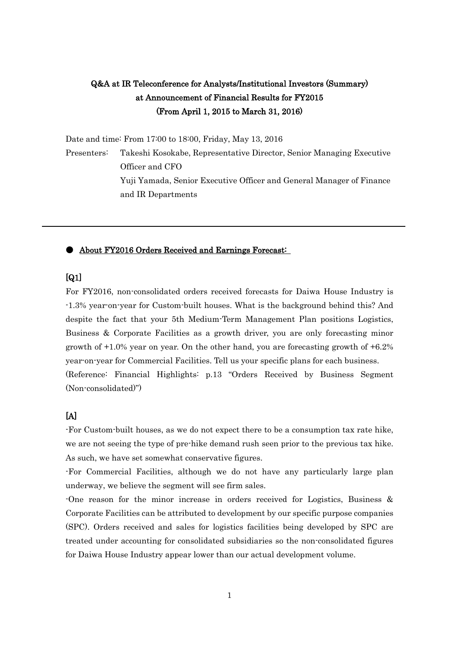## Q&A at IR Teleconference for Analysts/Institutional Investors (Summary) at Announcement of Financial Results for FY2015 (From April 1, 2015 to March 31, 2016)

Date and time: From 17:00 to 18:00, Friday, May 13, 2016

Presenters: Takeshi Kosokabe, Representative Director, Senior Managing Executive Officer and CFO Yuji Yamada, Senior Executive Officer and General Manager of Finance and IR Departments

#### ● About FY2016 Orders Received and Earnings Forecast:

 $\overline{a}$ 

#### [Q1]

For FY2016, non-consolidated orders received forecasts for Daiwa House Industry is -1.3% year-on-year for Custom-built houses. What is the background behind this? And despite the fact that your 5th Medium-Term Management Plan positions Logistics, Business & Corporate Facilities as a growth driver, you are only forecasting minor growth of +1.0% year on year. On the other hand, you are forecasting growth of +6.2% year-on-year for Commercial Facilities. Tell us your specific plans for each business. (Reference: Financial Highlights: p.13 "Orders Received by Business Segment (Non-consolidated)")

#### [A]

-For Custom-built houses, as we do not expect there to be a consumption tax rate hike, we are not seeing the type of pre-hike demand rush seen prior to the previous tax hike. As such, we have set somewhat conservative figures.

-For Commercial Facilities, although we do not have any particularly large plan underway, we believe the segment will see firm sales.

-One reason for the minor increase in orders received for Logistics, Business & Corporate Facilities can be attributed to development by our specific purpose companies (SPC). Orders received and sales for logistics facilities being developed by SPC are treated under accounting for consolidated subsidiaries so the non-consolidated figures for Daiwa House Industry appear lower than our actual development volume.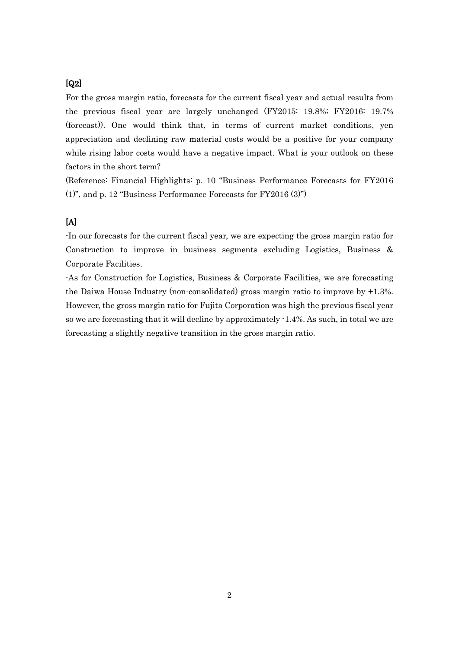### [Q2]

For the gross margin ratio, forecasts for the current fiscal year and actual results from the previous fiscal year are largely unchanged (FY2015: 19.8%; FY2016: 19.7% (forecast)). One would think that, in terms of current market conditions, yen appreciation and declining raw material costs would be a positive for your company while rising labor costs would have a negative impact. What is your outlook on these factors in the short term?

(Reference: Financial Highlights: p. 10 "Business Performance Forecasts for FY2016 (1)", and p. 12 "Business Performance Forecasts for FY2016 (3)")

#### [A]

-In our forecasts for the current fiscal year, we are expecting the gross margin ratio for Construction to improve in business segments excluding Logistics, Business & Corporate Facilities.

-As for Construction for Logistics, Business & Corporate Facilities, we are forecasting the Daiwa House Industry (non-consolidated) gross margin ratio to improve by +1.3%. However, the gross margin ratio for Fujita Corporation was high the previous fiscal year so we are forecasting that it will decline by approximately -1.4%. As such, in total we are forecasting a slightly negative transition in the gross margin ratio.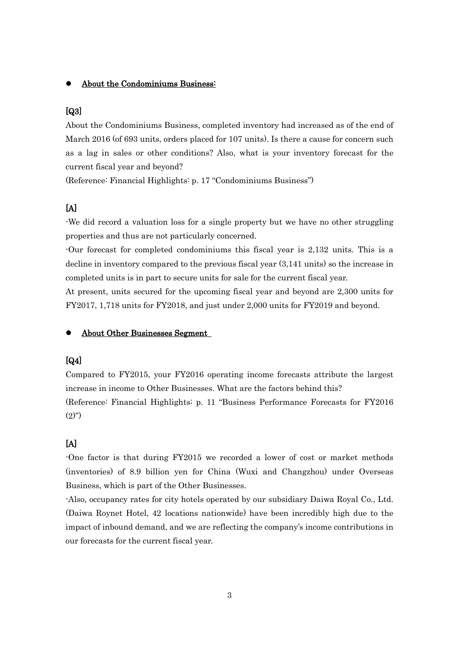#### About the Condominiums Business:

#### [Q3]

About the Condominiums Business, completed inventory had increased as of the end of March 2016 (of 693 units, orders placed for 107 units). Is there a cause for concern such as a lag in sales or other conditions? Also, what is your inventory forecast for the current fiscal year and beyond?

(Reference: Financial Highlights: p. 17 "Condominiums Business")

#### [A]

-We did record a valuation loss for a single property but we have no other struggling properties and thus are not particularly concerned.

-Our forecast for completed condominiums this fiscal year is 2,132 units. This is a decline in inventory compared to the previous fiscal year (3,141 units) so the increase in completed units is in part to secure units for sale for the current fiscal year.

At present, units secured for the upcoming fiscal year and beyond are 2,300 units for FY2017, 1,718 units for FY2018, and just under 2,000 units for FY2019 and beyond.

#### About Other Businesses Segment

#### [Q4]

Compared to FY2015, your FY2016 operating income forecasts attribute the largest increase in income to Other Businesses. What are the factors behind this? (Reference: Financial Highlights: p. 11 "Business Performance Forecasts for FY2016  $(2)$ ")

#### $[A]$

-One factor is that during FY2015 we recorded a lower of cost or market methods (inventories) of 8.9 billion yen for China (Wuxi and Changzhou) under Overseas Business, which is part of the Other Businesses.

-Also, occupancy rates for city hotels operated by our subsidiary Daiwa Royal Co., Ltd. (Daiwa Roynet Hotel, 42 locations nationwide) have been incredibly high due to the impact of inbound demand, and we are reflecting the company's income contributions in our forecasts for the current fiscal year.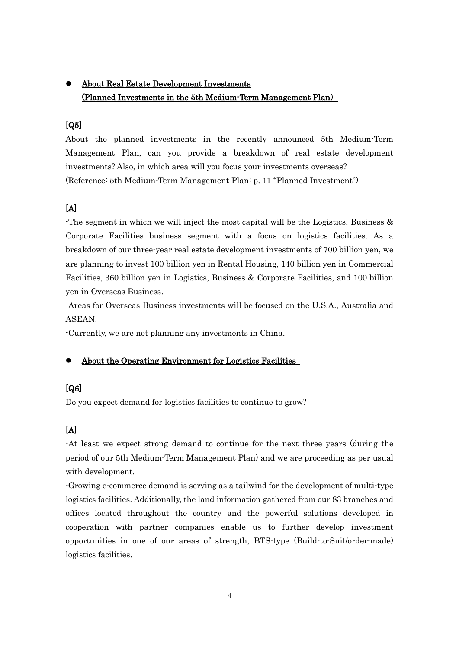## About Real Estate Development Investments (Planned Investments in the 5th Medium-Term Management Plan)

#### [Q5]

About the planned investments in the recently announced 5th Medium-Term Management Plan, can you provide a breakdown of real estate development investments? Also, in which area will you focus your investments overseas? (Reference: 5th Medium-Term Management Plan: p. 11 "Planned Investment")

### $[A]$

-The segment in which we will inject the most capital will be the Logistics, Business & Corporate Facilities business segment with a focus on logistics facilities. As a breakdown of our three-year real estate development investments of 700 billion yen, we are planning to invest 100 billion yen in Rental Housing, 140 billion yen in Commercial Facilities, 360 billion yen in Logistics, Business & Corporate Facilities, and 100 billion yen in Overseas Business.

-Areas for Overseas Business investments will be focused on the U.S.A., Australia and ASEAN.

-Currently, we are not planning any investments in China.

#### About the Operating Environment for Logistics Facilities

### [Q6]

Do you expect demand for logistics facilities to continue to grow?

### [A]

-At least we expect strong demand to continue for the next three years (during the period of our 5th Medium-Term Management Plan) and we are proceeding as per usual with development.

-Growing e-commerce demand is serving as a tailwind for the development of multi-type logistics facilities. Additionally, the land information gathered from our 83 branches and offices located throughout the country and the powerful solutions developed in cooperation with partner companies enable us to further develop investment opportunities in one of our areas of strength, BTS-type (Build-to-Suit/order-made) logistics facilities.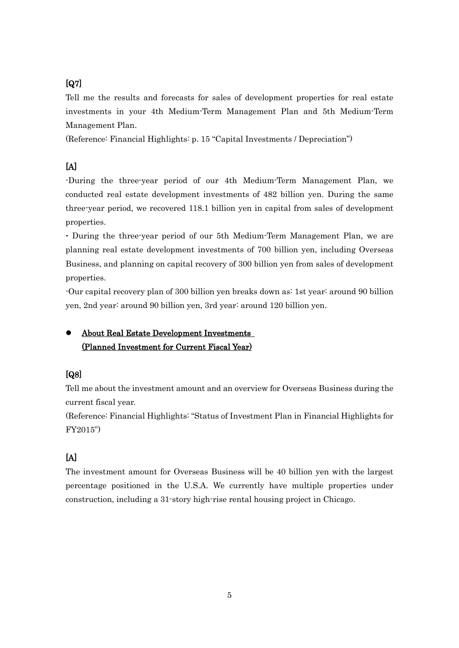# [Q7]

Tell me the results and forecasts for sales of development properties for real estate investments in your 4th Medium-Term Management Plan and 5th Medium-Term Management Plan.

(Reference: Financial Highlights: p. 15 "Capital Investments / Depreciation")

## $[A]$

-During the three-year period of our 4th Medium-Term Management Plan, we conducted real estate development investments of 482 billion yen. During the same three-year period, we recovered 118.1 billion yen in capital from sales of development properties.

- During the three-year period of our 5th Medium-Term Management Plan, we are planning real estate development investments of 700 billion yen, including Overseas Business, and planning on capital recovery of 300 billion yen from sales of development properties.

-Our capital recovery plan of 300 billion yen breaks down as: 1st year: around 90 billion yen, 2nd year: around 90 billion yen, 3rd year: around 120 billion yen.

## About Real Estate Development Investments (Planned Investment for Current Fiscal Year)

# [Q8]

Tell me about the investment amount and an overview for Overseas Business during the current fiscal year.

(Reference: Financial Highlights: "Status of Investment Plan in Financial Highlights for FY2015")

# [A]

The investment amount for Overseas Business will be 40 billion yen with the largest percentage positioned in the U.S.A. We currently have multiple properties under construction, including a 31-story high-rise rental housing project in Chicago.